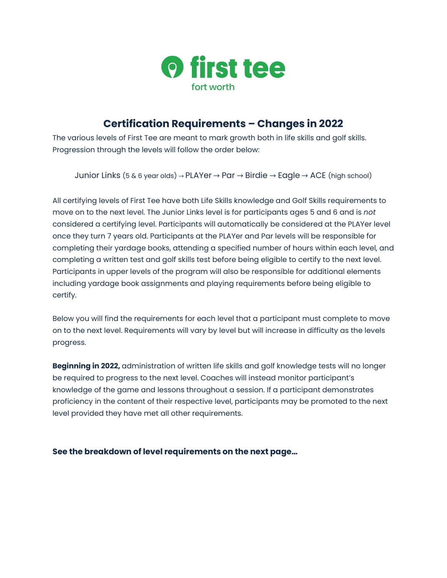

# **Certification Requirements – Changes in 2022**

The various levels of First Tee are meant to mark growth both in life skills and golf skills. Progression through the levels will follow the order below:

Junior Links (5 & 6 year olds) → PLAYer → Par → Birdie → Eagle → ACE (high school)

All certifying levels of First Tee have both Life Skills knowledge and Golf Skills requirements to move on to the next level. The Junior Links level is for participants ages 5 and 6 and is *not*  considered a certifying level. Participants will automatically be considered at the PLAYer level once they turn 7 years old. Participants at the PLAYer and Par levels will be responsible for completing their yardage books, attending a specified number of hours within each level, and completing a written test and golf skills test before being eligible to certify to the next level. Participants in upper levels of the program will also be responsible for additional elements including yardage book assignments and playing requirements before being eligible to certify.

Below you will find the requirements for each level that a participant must complete to move on to the next level. Requirements will vary by level but will increase in difficulty as the levels progress.

**Beginning in 2022,** administration of written life skills and golf knowledge tests will no longer be required to progress to the next level. Coaches will instead monitor participant's knowledge of the game and lessons throughout a session. If a participant demonstrates proficiency in the content of their respective level, participants may be promoted to the next level provided they have met all other requirements.

**See the breakdown of level requirements on the next page…**